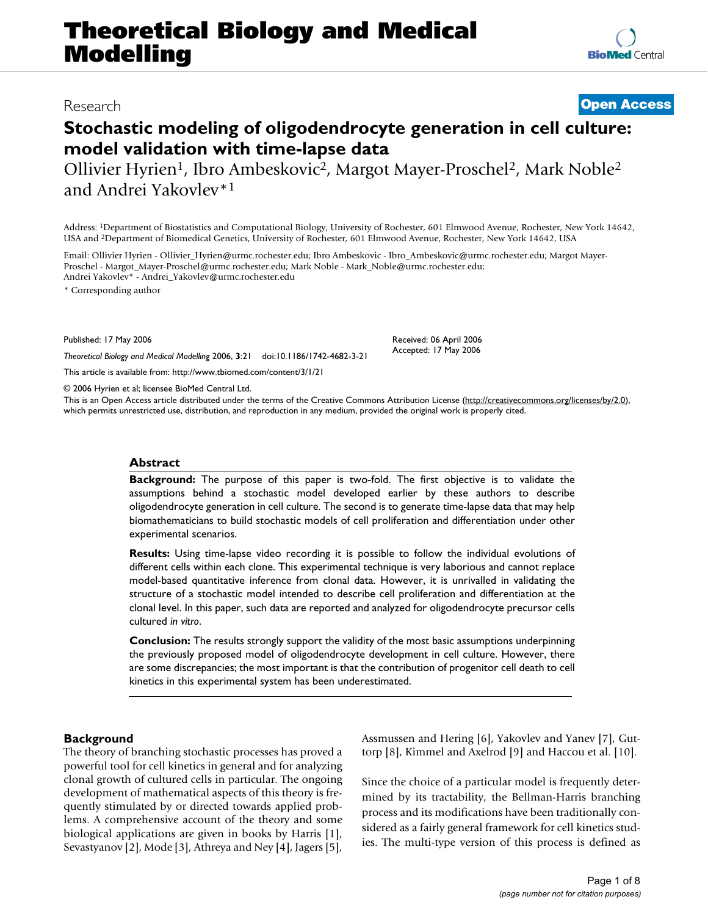## Research **[Open Access](http://www.biomedcentral.com/info/about/charter/)**

# **Stochastic modeling of oligodendrocyte generation in cell culture: model validation with time-lapse data**

Ollivier Hyrien<sup>1</sup>, Ibro Ambeskovic<sup>2</sup>, Margot Mayer-Proschel<sup>2</sup>, Mark Noble<sup>2</sup> and Andrei Yakovlev\*1

Address: 1Department of Biostatistics and Computational Biology, University of Rochester, 601 Elmwood Avenue, Rochester, New York 14642, USA and 2Department of Biomedical Genetics, University of Rochester, 601 Elmwood Avenue, Rochester, New York 14642, USA

Email: Ollivier Hyrien - Ollivier\_Hyrien@urmc.rochester.edu; Ibro Ambeskovic - Ibro\_Ambeskovic@urmc.rochester.edu; Margot Mayer-Proschel - Margot\_Mayer-Proschel@urmc.rochester.edu; Mark Noble - Mark\_Noble@urmc.rochester.edu; Andrei Yakovlev\* - Andrei\_Yakovlev@urmc.rochester.edu

\* Corresponding author

Published: 17 May 2006

*Theoretical Biology and Medical Modelling* 2006, **3**:21 doi:10.1186/1742-4682-3-21

[This article is available from: http://www.tbiomed.com/content/3/1/21](http://www.tbiomed.com/content/3/1/21)

© 2006 Hyrien et al; licensee BioMed Central Ltd.

This is an Open Access article distributed under the terms of the Creative Commons Attribution License [\(http://creativecommons.org/licenses/by/2.0\)](http://creativecommons.org/licenses/by/2.0), which permits unrestricted use, distribution, and reproduction in any medium, provided the original work is properly cited.

Received: 06 April 2006 Accepted: 17 May 2006

#### **Abstract**

**Background:** The purpose of this paper is two-fold. The first objective is to validate the assumptions behind a stochastic model developed earlier by these authors to describe oligodendrocyte generation in cell culture. The second is to generate time-lapse data that may help biomathematicians to build stochastic models of cell proliferation and differentiation under other experimental scenarios.

**Results:** Using time-lapse video recording it is possible to follow the individual evolutions of different cells within each clone. This experimental technique is very laborious and cannot replace model-based quantitative inference from clonal data. However, it is unrivalled in validating the structure of a stochastic model intended to describe cell proliferation and differentiation at the clonal level. In this paper, such data are reported and analyzed for oligodendrocyte precursor cells cultured *in vitro*.

**Conclusion:** The results strongly support the validity of the most basic assumptions underpinning the previously proposed model of oligodendrocyte development in cell culture. However, there are some discrepancies; the most important is that the contribution of progenitor cell death to cell kinetics in this experimental system has been underestimated.

#### **Background**

The theory of branching stochastic processes has proved a powerful tool for cell kinetics in general and for analyzing clonal growth of cultured cells in particular. The ongoing development of mathematical aspects of this theory is frequently stimulated by or directed towards applied problems. A comprehensive account of the theory and some biological applications are given in books by Harris [1], Sevastyanov [2], Mode [3], Athreya and Ney [4], Jagers [5], Assmussen and Hering [6], Yakovlev and Yanev [7], Guttorp [8], Kimmel and Axelrod [9] and Haccou et al. [10].

Since the choice of a particular model is frequently determined by its tractability, the Bellman-Harris branching process and its modifications have been traditionally considered as a fairly general framework for cell kinetics studies. The multi-type version of this process is defined as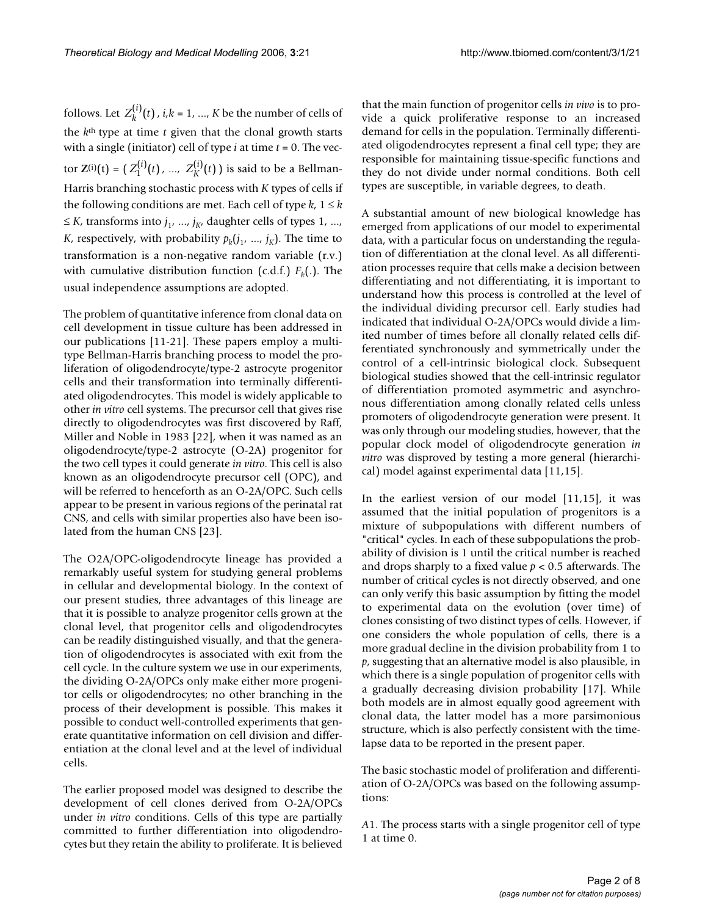follows. Let  $Z_k^{(i)}(t)$  , i,  $k = 1, ..., K$  be the number of cells of the *k*th type at time *t* given that the clonal growth starts with a single (initiator) cell of type *i* at time *t* = 0. The vector  $Z^{(i)}(t) = \left( Z_1^{(i)}(t), ..., Z_K^{(i)}(t) \right)$  is said to be a Bellman-Harris branching stochastic process with *K* types of cells if the following conditions are met. Each cell of type  $k, 1 \leq k$ ≤ *K*, transforms into  $j_1$ , ...,  $j_K$ , daughter cells of types 1, ..., *K*, respectively, with probability  $p_k(j_1, ..., j_K)$ . The time to transformation is a non-negative random variable (r.v.) with cumulative distribution function (c.d.f.)  $F_k(.)$ . The usual independence assumptions are adopted.

The problem of quantitative inference from clonal data on cell development in tissue culture has been addressed in our publications [11-21]. These papers employ a multitype Bellman-Harris branching process to model the proliferation of oligodendrocyte/type-2 astrocyte progenitor cells and their transformation into terminally differentiated oligodendrocytes. This model is widely applicable to other *in vitro* cell systems. The precursor cell that gives rise directly to oligodendrocytes was first discovered by Raff, Miller and Noble in 1983 [22], when it was named as an oligodendrocyte/type-2 astrocyte (O-2A) progenitor for the two cell types it could generate *in vitro*. This cell is also known as an oligodendrocyte precursor cell (OPC), and will be referred to henceforth as an O-2A/OPC. Such cells appear to be present in various regions of the perinatal rat CNS, and cells with similar properties also have been isolated from the human CNS [23].

The O2A/OPC-oligodendrocyte lineage has provided a remarkably useful system for studying general problems in cellular and developmental biology. In the context of our present studies, three advantages of this lineage are that it is possible to analyze progenitor cells grown at the clonal level, that progenitor cells and oligodendrocytes can be readily distinguished visually, and that the generation of oligodendrocytes is associated with exit from the cell cycle. In the culture system we use in our experiments, the dividing O-2A/OPCs only make either more progenitor cells or oligodendrocytes; no other branching in the process of their development is possible. This makes it possible to conduct well-controlled experiments that generate quantitative information on cell division and differentiation at the clonal level and at the level of individual cells.

The earlier proposed model was designed to describe the development of cell clones derived from O-2A/OPCs under *in vitro* conditions. Cells of this type are partially committed to further differentiation into oligodendrocytes but they retain the ability to proliferate. It is believed

that the main function of progenitor cells *in vivo* is to provide a quick proliferative response to an increased demand for cells in the population. Terminally differentiated oligodendrocytes represent a final cell type; they are responsible for maintaining tissue-specific functions and they do not divide under normal conditions. Both cell types are susceptible, in variable degrees, to death.

A substantial amount of new biological knowledge has emerged from applications of our model to experimental data, with a particular focus on understanding the regulation of differentiation at the clonal level. As all differentiation processes require that cells make a decision between differentiating and not differentiating, it is important to understand how this process is controlled at the level of the individual dividing precursor cell. Early studies had indicated that individual O-2A/OPCs would divide a limited number of times before all clonally related cells differentiated synchronously and symmetrically under the control of a cell-intrinsic biological clock. Subsequent biological studies showed that the cell-intrinsic regulator of differentiation promoted asymmetric and asynchronous differentiation among clonally related cells unless promoters of oligodendrocyte generation were present. It was only through our modeling studies, however, that the popular clock model of oligodendrocyte generation *in vitro* was disproved by testing a more general (hierarchical) model against experimental data [11,15].

In the earliest version of our model [11,15], it was assumed that the initial population of progenitors is a mixture of subpopulations with different numbers of "critical" cycles. In each of these subpopulations the probability of division is 1 until the critical number is reached and drops sharply to a fixed value  $p < 0.5$  afterwards. The number of critical cycles is not directly observed, and one can only verify this basic assumption by fitting the model to experimental data on the evolution (over time) of clones consisting of two distinct types of cells. However, if one considers the whole population of cells, there is a more gradual decline in the division probability from 1 to *p*, suggesting that an alternative model is also plausible, in which there is a single population of progenitor cells with a gradually decreasing division probability [17]. While both models are in almost equally good agreement with clonal data, the latter model has a more parsimonious structure, which is also perfectly consistent with the timelapse data to be reported in the present paper.

The basic stochastic model of proliferation and differentiation of O-2A/OPCs was based on the following assumptions:

*A*1. The process starts with a single progenitor cell of type 1 at time 0.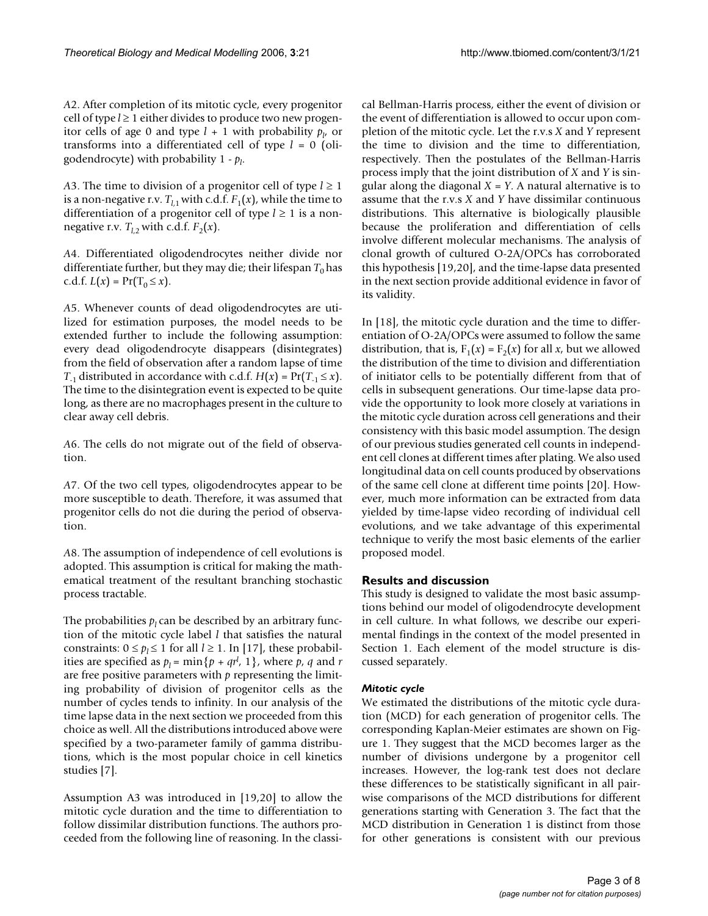*A*2. After completion of its mitotic cycle, every progenitor cell of type *l* ≥ 1 either divides to produce two new progenitor cells of age 0 and type  $l + 1$  with probability  $p_{l'}$  or transforms into a differentiated cell of type *l* = 0 (oligodendrocyte) with probability 1 - *pl* .

*A*3. The time to division of a progenitor cell of type *l* ≥ 1 is a non-negative r.v.  $T_{l,1}$  with c.d.f.  $F_1(x)$ , while the time to differentiation of a progenitor cell of type *l* ≥ 1 is a nonnegative r.v.  $T_{1,2}$  with c.d.f.  $F_2(x)$ .

*A*4. Differentiated oligodendrocytes neither divide nor differentiate further, but they may die; their lifespan  $T_0$  has c.d.f.  $L(x) = Pr(T_0 \le x)$ .

*A*5. Whenever counts of dead oligodendrocytes are utilized for estimation purposes, the model needs to be extended further to include the following assumption: every dead oligodendrocyte disappears (disintegrates) from the field of observation after a random lapse of time *T*<sub>-1</sub> distributed in accordance with c.d.f.  $H(x) = Pr(T_1 \le x)$ . The time to the disintegration event is expected to be quite long, as there are no macrophages present in the culture to clear away cell debris.

*A*6. The cells do not migrate out of the field of observation.

*A*7. Of the two cell types, oligodendrocytes appear to be more susceptible to death. Therefore, it was assumed that progenitor cells do not die during the period of observation.

*A*8. The assumption of independence of cell evolutions is adopted. This assumption is critical for making the mathematical treatment of the resultant branching stochastic process tractable.

The probabilities  $p_l$  can be described by an arbitrary function of the mitotic cycle label *l* that satisfies the natural constraints:  $0 \le p_l \le 1$  for all  $l \ge 1$ . In [17], these probabilities are specified as  $p_l = \min\{p + qr^l, 1\}$ , where p, q and r are free positive parameters with *p* representing the limiting probability of division of progenitor cells as the number of cycles tends to infinity. In our analysis of the time lapse data in the next section we proceeded from this choice as well. All the distributions introduced above were specified by a two-parameter family of gamma distributions, which is the most popular choice in cell kinetics studies [7].

Assumption A3 was introduced in [19,20] to allow the mitotic cycle duration and the time to differentiation to follow dissimilar distribution functions. The authors proceeded from the following line of reasoning. In the classical Bellman-Harris process, either the event of division or the event of differentiation is allowed to occur upon completion of the mitotic cycle. Let the r.v.s *X* and *Y* represent the time to division and the time to differentiation, respectively. Then the postulates of the Bellman-Harris process imply that the joint distribution of *X* and *Y* is singular along the diagonal  $X = Y$ . A natural alternative is to assume that the r.v.s *X* and *Y* have dissimilar continuous distributions. This alternative is biologically plausible because the proliferation and differentiation of cells involve different molecular mechanisms. The analysis of clonal growth of cultured O-2A/OPCs has corroborated this hypothesis [19,20], and the time-lapse data presented in the next section provide additional evidence in favor of its validity.

In [18], the mitotic cycle duration and the time to differentiation of O-2A/OPCs were assumed to follow the same distribution, that is,  $F_1(x) = F_2(x)$  for all *x*, but we allowed the distribution of the time to division and differentiation of initiator cells to be potentially different from that of cells in subsequent generations. Our time-lapse data provide the opportunity to look more closely at variations in the mitotic cycle duration across cell generations and their consistency with this basic model assumption. The design of our previous studies generated cell counts in independent cell clones at different times after plating. We also used longitudinal data on cell counts produced by observations of the same cell clone at different time points [20]. However, much more information can be extracted from data yielded by time-lapse video recording of individual cell evolutions, and we take advantage of this experimental technique to verify the most basic elements of the earlier proposed model.

### **Results and discussion**

This study is designed to validate the most basic assumptions behind our model of oligodendrocyte development in cell culture. In what follows, we describe our experimental findings in the context of the model presented in Section 1. Each element of the model structure is discussed separately.

#### *Mitotic cycle*

We estimated the distributions of the mitotic cycle duration (MCD) for each generation of progenitor cells. The corresponding Kaplan-Meier estimates are shown on Figure 1. They suggest that the MCD becomes larger as the number of divisions undergone by a progenitor cell increases. However, the log-rank test does not declare these differences to be statistically significant in all pairwise comparisons of the MCD distributions for different generations starting with Generation 3. The fact that the MCD distribution in Generation 1 is distinct from those for other generations is consistent with our previous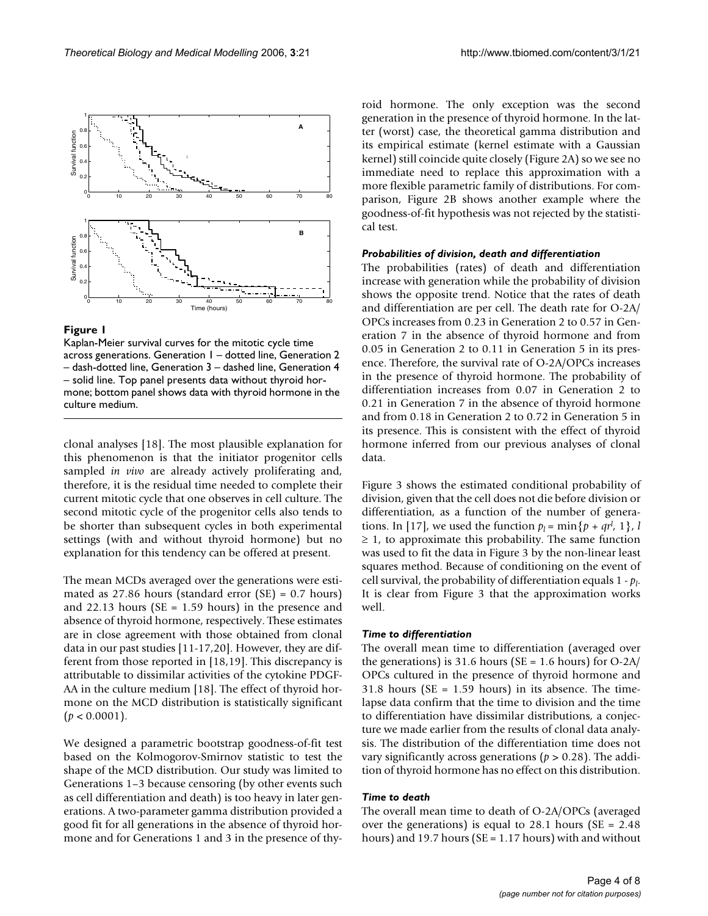

#### Figure 1

Kaplan-Meier survival curves for the mitotic cycle time across generations. Generation 1 – dotted line, Generation 2 – dash-dotted line, Generation 3 – dashed line, Generation 4 – solid line. Top panel presents data without thyroid hormone; bottom panel shows data with thyroid hormone in the culture medium.

clonal analyses [18]. The most plausible explanation for this phenomenon is that the initiator progenitor cells sampled *in vivo* are already actively proliferating and, therefore, it is the residual time needed to complete their current mitotic cycle that one observes in cell culture. The second mitotic cycle of the progenitor cells also tends to be shorter than subsequent cycles in both experimental settings (with and without thyroid hormone) but no explanation for this tendency can be offered at present.

The mean MCDs averaged over the generations were estimated as 27.86 hours (standard error (SE) = 0.7 hours) and 22.13 hours ( $SE = 1.59$  hours) in the presence and absence of thyroid hormone, respectively. These estimates are in close agreement with those obtained from clonal data in our past studies [11-17,20]. However, they are different from those reported in [18,19]. This discrepancy is attributable to dissimilar activities of the cytokine PDGF-AA in the culture medium [18]. The effect of thyroid hormone on the MCD distribution is statistically significant  $(p < 0.0001)$ .

We designed a parametric bootstrap goodness-of-fit test based on the Kolmogorov-Smirnov statistic to test the shape of the MCD distribution. Our study was limited to Generations 1–3 because censoring (by other events such as cell differentiation and death) is too heavy in later generations. A two-parameter gamma distribution provided a good fit for all generations in the absence of thyroid hormone and for Generations 1 and 3 in the presence of thyroid hormone. The only exception was the second generation in the presence of thyroid hormone. In the latter (worst) case, the theoretical gamma distribution and its empirical estimate (kernel estimate with a Gaussian kernel) still coincide quite closely (Figure 2A) so we see no immediate need to replace this approximation with a more flexible parametric family of distributions. For comparison, Figure 2B shows another example where the goodness-of-fit hypothesis was not rejected by the statistical test.

#### *Probabilities of division, death and differentiation*

The probabilities (rates) of death and differentiation increase with generation while the probability of division shows the opposite trend. Notice that the rates of death and differentiation are per cell. The death rate for O-2A/ OPCs increases from 0.23 in Generation 2 to 0.57 in Generation 7 in the absence of thyroid hormone and from 0.05 in Generation 2 to 0.11 in Generation 5 in its presence. Therefore, the survival rate of O-2A/OPCs increases in the presence of thyroid hormone. The probability of differentiation increases from 0.07 in Generation 2 to 0.21 in Generation 7 in the absence of thyroid hormone and from 0.18 in Generation 2 to 0.72 in Generation 5 in its presence. This is consistent with the effect of thyroid hormone inferred from our previous analyses of clonal data.

Figure 3 shows the estimated conditional probability of division, given that the cell does not die before division or differentiation, as a function of the number of generations. In [17], we used the function  $p_l = \min\{p + qr^l, 1\}$ , *l*  $\geq$  1, to approximate this probability. The same function was used to fit the data in Figure 3 by the non-linear least squares method. Because of conditioning on the event of cell survival, the probability of differentiation equals 1 - *pl* . It is clear from Figure 3 that the approximation works well.

#### *Time to differentiation*

The overall mean time to differentiation (averaged over the generations) is 31.6 hours ( $SE = 1.6$  hours) for O-2A/ OPCs cultured in the presence of thyroid hormone and  $31.8$  hours (SE = 1.59 hours) in its absence. The timelapse data confirm that the time to division and the time to differentiation have dissimilar distributions, a conjecture we made earlier from the results of clonal data analysis. The distribution of the differentiation time does not vary significantly across generations ( $p > 0.28$ ). The addition of thyroid hormone has no effect on this distribution.

#### *Time to death*

The overall mean time to death of O-2A/OPCs (averaged over the generations) is equal to  $28.1$  hours (SE =  $2.48$ ) hours) and 19.7 hours (SE = 1.17 hours) with and without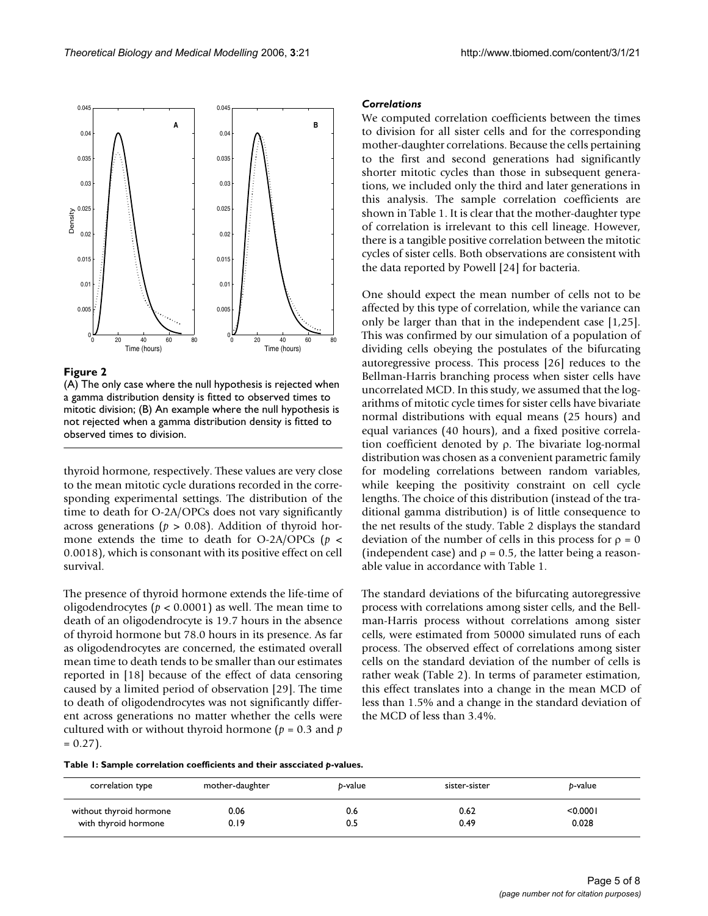

#### **Figure 2**

(A) The only case where the null hypothesis is rejected when a gamma distribution density is fitted to observed times to mitotic division; (B) An example where the null hypothesis is not rejected when a gamma distribution density is fitted to observed times to division.

thyroid hormone, respectively. These values are very close to the mean mitotic cycle durations recorded in the corresponding experimental settings. The distribution of the time to death for O-2A/OPCs does not vary significantly across generations ( $p > 0.08$ ). Addition of thyroid hormone extends the time to death for O-2A/OPCs (*p* < 0.0018), which is consonant with its positive effect on cell survival.

The presence of thyroid hormone extends the life-time of oligodendrocytes ( $p < 0.0001$ ) as well. The mean time to death of an oligodendrocyte is 19.7 hours in the absence of thyroid hormone but 78.0 hours in its presence. As far as oligodendrocytes are concerned, the estimated overall mean time to death tends to be smaller than our estimates reported in [18] because of the effect of data censoring caused by a limited period of observation [29]. The time to death of oligodendrocytes was not significantly different across generations no matter whether the cells were cultured with or without thyroid hormone (*p* = 0.3 and *p*  $= 0.27$ ).

#### *Correlations*

We computed correlation coefficients between the times to division for all sister cells and for the corresponding mother-daughter correlations. Because the cells pertaining to the first and second generations had significantly shorter mitotic cycles than those in subsequent generations, we included only the third and later generations in this analysis. The sample correlation coefficients are shown in Table 1. It is clear that the mother-daughter type of correlation is irrelevant to this cell lineage. However, there is a tangible positive correlation between the mitotic cycles of sister cells. Both observations are consistent with the data reported by Powell [24] for bacteria.

One should expect the mean number of cells not to be affected by this type of correlation, while the variance can only be larger than that in the independent case [1,25]. This was confirmed by our simulation of a population of dividing cells obeying the postulates of the bifurcating autoregressive process. This process [26] reduces to the Bellman-Harris branching process when sister cells have uncorrelated MCD. In this study, we assumed that the logarithms of mitotic cycle times for sister cells have bivariate normal distributions with equal means (25 hours) and equal variances (40 hours), and a fixed positive correlation coefficient denoted by ρ. The bivariate log-normal distribution was chosen as a convenient parametric family for modeling correlations between random variables, while keeping the positivity constraint on cell cycle lengths. The choice of this distribution (instead of the traditional gamma distribution) is of little consequence to the net results of the study. Table 2 displays the standard deviation of the number of cells in this process for  $\rho = 0$ (independent case) and  $\rho = 0.5$ , the latter being a reasonable value in accordance with Table 1.

The standard deviations of the bifurcating autoregressive process with correlations among sister cells, and the Bellman-Harris process without correlations among sister cells, were estimated from 50000 simulated runs of each process. The observed effect of correlations among sister cells on the standard deviation of the number of cells is rather weak (Table 2). In terms of parameter estimation, this effect translates into a change in the mean MCD of less than 1.5% and a change in the standard deviation of the MCD of less than 3.4%.

| Table 1: Sample correlation coefficients and their asscciated p-values. |  |
|-------------------------------------------------------------------------|--|
|-------------------------------------------------------------------------|--|

| correlation type        | mother-daughter | b-value | sister-sister | b-value  |
|-------------------------|-----------------|---------|---------------|----------|
| without thyroid hormone | 0.06            | 0.6     | 0.62          | < 0.0001 |
| with thyroid hormone    | 0.19            | 0.5     | 0.49          | 0.028    |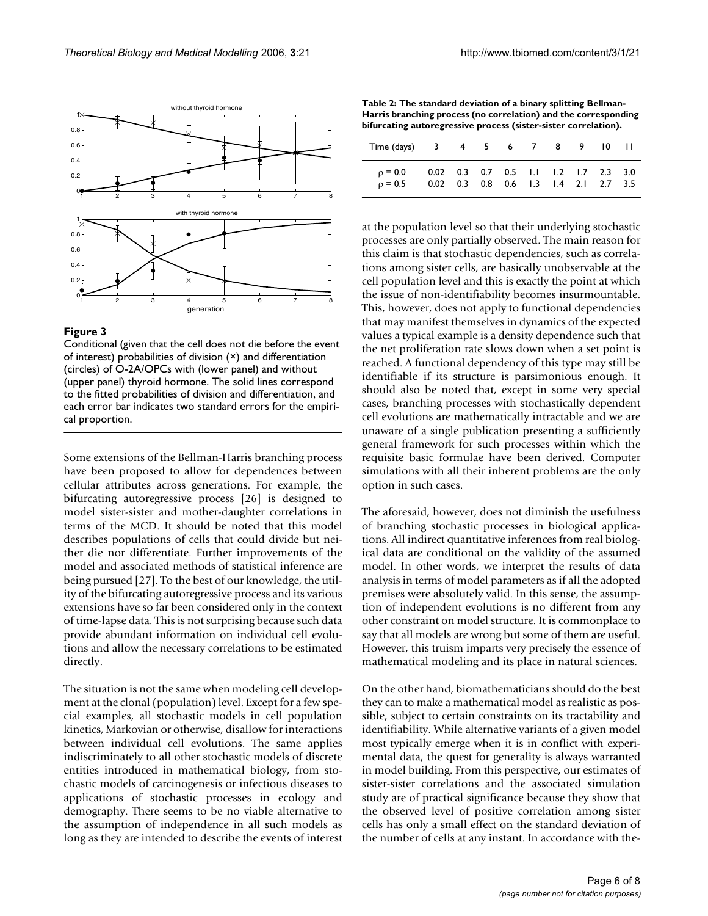

#### Figure 3

Conditional (given that the cell does not die before the event of interest) probabilities of division (×) and differentiation (circles) of O-2A/OPCs with (lower panel) and without (upper panel) thyroid hormone. The solid lines correspond to the fitted probabilities of division and differentiation, and each error bar indicates two standard errors for the empirical proportion.

Some extensions of the Bellman-Harris branching process have been proposed to allow for dependences between cellular attributes across generations. For example, the bifurcating autoregressive process [26] is designed to model sister-sister and mother-daughter correlations in terms of the MCD. It should be noted that this model describes populations of cells that could divide but neither die nor differentiate. Further improvements of the model and associated methods of statistical inference are being pursued [27]. To the best of our knowledge, the utility of the bifurcating autoregressive process and its various extensions have so far been considered only in the context of time-lapse data. This is not surprising because such data provide abundant information on individual cell evolutions and allow the necessary correlations to be estimated directly.

The situation is not the same when modeling cell development at the clonal (population) level. Except for a few special examples, all stochastic models in cell population kinetics, Markovian or otherwise, disallow for interactions between individual cell evolutions. The same applies indiscriminately to all other stochastic models of discrete entities introduced in mathematical biology, from stochastic models of carcinogenesis or infectious diseases to applications of stochastic processes in ecology and demography. There seems to be no viable alternative to the assumption of independence in all such models as long as they are intended to describe the events of interest

**Table 2: The standard deviation of a binary splitting Bellman-Harris branching process (no correlation) and the corresponding bifurcating autoregressive process (sister-sister correlation).**

| Time (days) 3 4 5 6 7 8 9 10 11                             |                                              |  |  |  |  |  |  |  |  |
|-------------------------------------------------------------|----------------------------------------------|--|--|--|--|--|--|--|--|
| $p = 0.0$ 0.02 0.3 0.7 0.5 1.1 1.2 1.7 2.3 3.0<br>$0 = 0.5$ | 0.02  0.3  0.8  0.6  1.3  1.4  2.1  2.7  3.5 |  |  |  |  |  |  |  |  |

at the population level so that their underlying stochastic processes are only partially observed. The main reason for this claim is that stochastic dependencies, such as correlations among sister cells, are basically unobservable at the cell population level and this is exactly the point at which the issue of non-identifiability becomes insurmountable. This, however, does not apply to functional dependencies that may manifest themselves in dynamics of the expected values a typical example is a density dependence such that the net proliferation rate slows down when a set point is reached. A functional dependency of this type may still be identifiable if its structure is parsimonious enough. It should also be noted that, except in some very special cases, branching processes with stochastically dependent cell evolutions are mathematically intractable and we are unaware of a single publication presenting a sufficiently general framework for such processes within which the requisite basic formulae have been derived. Computer simulations with all their inherent problems are the only option in such cases.

The aforesaid, however, does not diminish the usefulness of branching stochastic processes in biological applications. All indirect quantitative inferences from real biological data are conditional on the validity of the assumed model. In other words, we interpret the results of data analysis in terms of model parameters as if all the adopted premises were absolutely valid. In this sense, the assumption of independent evolutions is no different from any other constraint on model structure. It is commonplace to say that all models are wrong but some of them are useful. However, this truism imparts very precisely the essence of mathematical modeling and its place in natural sciences.

On the other hand, biomathematicians should do the best they can to make a mathematical model as realistic as possible, subject to certain constraints on its tractability and identifiability. While alternative variants of a given model most typically emerge when it is in conflict with experimental data, the quest for generality is always warranted in model building. From this perspective, our estimates of sister-sister correlations and the associated simulation study are of practical significance because they show that the observed level of positive correlation among sister cells has only a small effect on the standard deviation of the number of cells at any instant. In accordance with the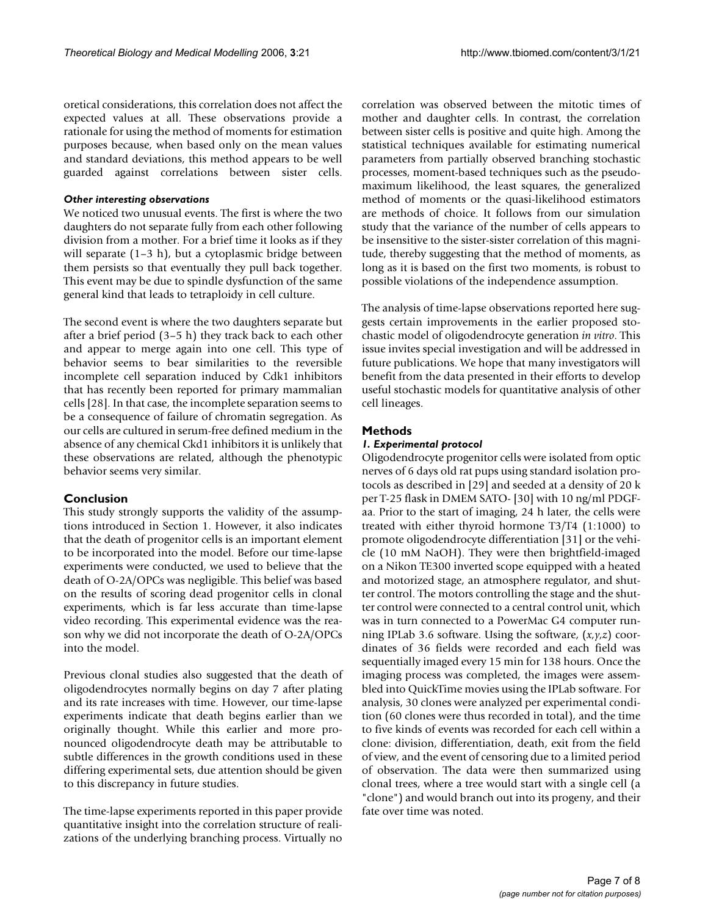oretical considerations, this correlation does not affect the expected values at all. These observations provide a rationale for using the method of moments for estimation purposes because, when based only on the mean values and standard deviations, this method appears to be well guarded against correlations between sister cells.

#### *Other interesting observations*

We noticed two unusual events. The first is where the two daughters do not separate fully from each other following division from a mother. For a brief time it looks as if they will separate (1–3 h), but a cytoplasmic bridge between them persists so that eventually they pull back together. This event may be due to spindle dysfunction of the same general kind that leads to tetraploidy in cell culture.

The second event is where the two daughters separate but after a brief period (3–5 h) they track back to each other and appear to merge again into one cell. This type of behavior seems to bear similarities to the reversible incomplete cell separation induced by Cdk1 inhibitors that has recently been reported for primary mammalian cells [28]. In that case, the incomplete separation seems to be a consequence of failure of chromatin segregation. As our cells are cultured in serum-free defined medium in the absence of any chemical Ckd1 inhibitors it is unlikely that these observations are related, although the phenotypic behavior seems very similar.

#### **Conclusion**

This study strongly supports the validity of the assumptions introduced in Section 1. However, it also indicates that the death of progenitor cells is an important element to be incorporated into the model. Before our time-lapse experiments were conducted, we used to believe that the death of O-2A/OPCs was negligible. This belief was based on the results of scoring dead progenitor cells in clonal experiments, which is far less accurate than time-lapse video recording. This experimental evidence was the reason why we did not incorporate the death of O-2A/OPCs into the model.

Previous clonal studies also suggested that the death of oligodendrocytes normally begins on day 7 after plating and its rate increases with time. However, our time-lapse experiments indicate that death begins earlier than we originally thought. While this earlier and more pronounced oligodendrocyte death may be attributable to subtle differences in the growth conditions used in these differing experimental sets, due attention should be given to this discrepancy in future studies.

The time-lapse experiments reported in this paper provide quantitative insight into the correlation structure of realizations of the underlying branching process. Virtually no correlation was observed between the mitotic times of mother and daughter cells. In contrast, the correlation between sister cells is positive and quite high. Among the statistical techniques available for estimating numerical parameters from partially observed branching stochastic processes, moment-based techniques such as the pseudomaximum likelihood, the least squares, the generalized method of moments or the quasi-likelihood estimators are methods of choice. It follows from our simulation study that the variance of the number of cells appears to be insensitive to the sister-sister correlation of this magnitude, thereby suggesting that the method of moments, as long as it is based on the first two moments, is robust to possible violations of the independence assumption.

The analysis of time-lapse observations reported here suggests certain improvements in the earlier proposed stochastic model of oligodendrocyte generation *in vitro*. This issue invites special investigation and will be addressed in future publications. We hope that many investigators will benefit from the data presented in their efforts to develop useful stochastic models for quantitative analysis of other cell lineages.

#### **Methods**

#### *1. Experimental protocol*

Oligodendrocyte progenitor cells were isolated from optic nerves of 6 days old rat pups using standard isolation protocols as described in [29] and seeded at a density of 20 k per T-25 flask in DMEM SATO- [30] with 10 ng/ml PDGFaa. Prior to the start of imaging, 24 h later, the cells were treated with either thyroid hormone T3/T4 (1:1000) to promote oligodendrocyte differentiation [31] or the vehicle (10 mM NaOH). They were then brightfield-imaged on a Nikon TE300 inverted scope equipped with a heated and motorized stage, an atmosphere regulator, and shutter control. The motors controlling the stage and the shutter control were connected to a central control unit, which was in turn connected to a PowerMac G4 computer running IPLab 3.6 software. Using the software, (*x,y,z*) coordinates of 36 fields were recorded and each field was sequentially imaged every 15 min for 138 hours. Once the imaging process was completed, the images were assembled into QuickTime movies using the IPLab software. For analysis, 30 clones were analyzed per experimental condition (60 clones were thus recorded in total), and the time to five kinds of events was recorded for each cell within a clone: division, differentiation, death, exit from the field of view, and the event of censoring due to a limited period of observation. The data were then summarized using clonal trees, where a tree would start with a single cell (a "clone") and would branch out into its progeny, and their fate over time was noted.